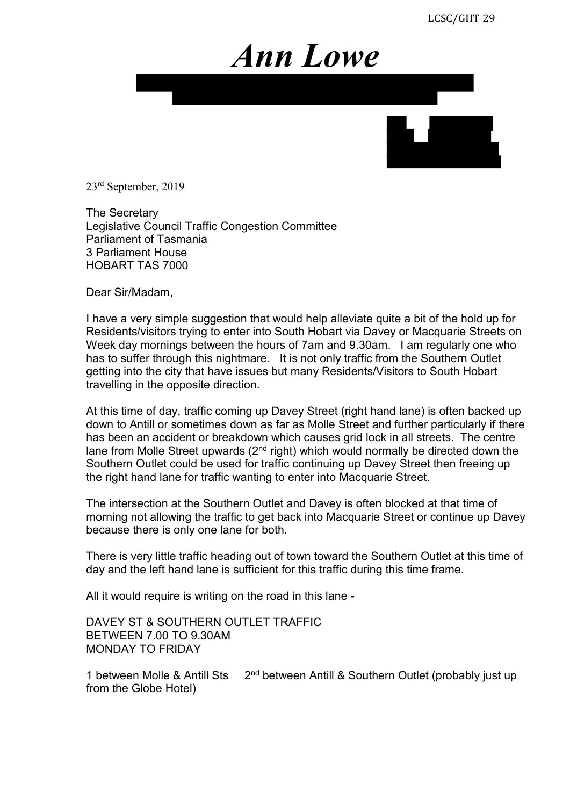## *Ann Lowe*



23rd September, 2019

The Secretary Legislative Council Traffic Congestion Committee Parliament of Tasmania 3 Parliament House HOBART TAS 7000

Dear Sir/Madam,

I have a very simple suggestion that would help alleviate quite a bit of the hold up for Residents/visitors trying to enter into South Hobart via Davey or Macquarie Streets on Week day mornings between the hours of 7am and 9.30am. I am regularly one who has to suffer through this nightmare. It is not only traffic from the Southern Outlet getting into the city that have issues but many Residents/Visitors to South Hobart travelling in the opposite direction.

At this time of day, traffic coming up Davey Street (right hand lane) is often backed up down to Antill or sometimes down as far as Molle Street and further particularly if there has been an accident or breakdown which causes grid lock in all streets. The centre lane from Molle Street upwards  $(2^{nd}$  right) which would normally be directed down the Southern Outlet could be used for traffic continuing up Davey Street then freeing up the right hand lane for traffic wanting to enter into Macquarie Street.

The intersection at the Southern Outlet and Davey is often blocked at that time of morning not allowing the traffic to get back into Macquarie Street or continue up Davey because there is only one lane for both.

There is very little traffic heading out of town toward the Southern Outlet at this time of day and the left hand lane is sufficient for this traffic during this time frame.

All it would require is writing on the road in this lane -

DAVEY ST & SOUTHERN OUTLET TRAFFIC BETWEEN 7.00 TO 9.30AM MONDAY TO FRIDAY

1 between Molle & Antill Sts 2<sup>nd</sup> between Antill & Southern Outlet (probably just up from the Globe Hotel)